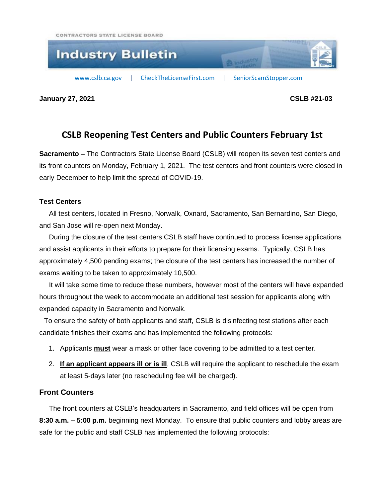CONTRACTORS STATE LICENSE BOARD



**January 27, 2021 CSLB #21-03**

## **CSLB Reopening Test Centers and Public Counters February 1st**

**Sacramento –** The Contractors State License Board (CSLB) will reopen its seven test centers and its front counters on Monday, February 1, 2021. The test centers and front counters were closed in early December to help limit the spread of COVID-19.

## **Test Centers**

 All test centers, located in Fresno, Norwalk, Oxnard, Sacramento, San Bernardino, San Diego, and San Jose will re-open next Monday.

 During the closure of the test centers CSLB staff have continued to process license applications and assist applicants in their efforts to prepare for their licensing exams. Typically, CSLB has approximately 4,500 pending exams; the closure of the test centers has increased the number of exams waiting to be taken to approximately 10,500.

 It will take some time to reduce these numbers, however most of the centers will have expanded hours throughout the week to accommodate an additional test session for applicants along with expanded capacity in Sacramento and Norwalk.

 To ensure the safety of both applicants and staff, CSLB is disinfecting test stations after each candidate finishes their exams and has implemented the following protocols:

- 1. Applicants **must** wear a mask or other face covering to be admitted to a test center.
- 2. **If an applicant appears ill or is ill**, CSLB will require the applicant to reschedule the exam at least 5-days later (no rescheduling fee will be charged).

## **Front Counters**

The front counters at CSLB's headquarters in Sacramento, and field offices will be open from **8:30 a.m. – 5:00 p.m.** beginning next Monday. To ensure that public counters and lobby areas are safe for the public and staff CSLB has implemented the following protocols: